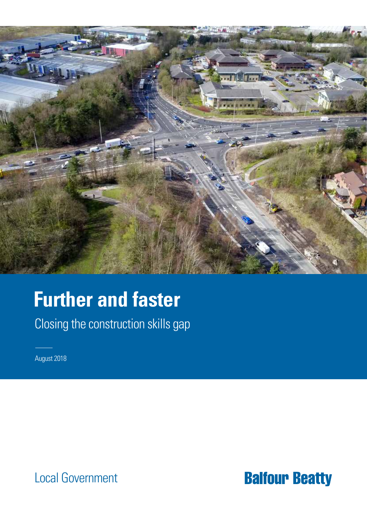

# **Further and faster**

Closing the construction skills gap

August 2018

Local Government

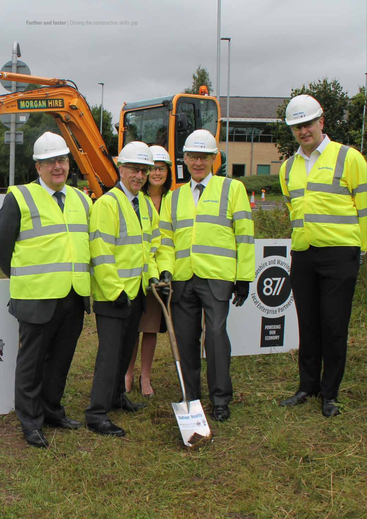**MORGAN HIRE** 

ł



**Ballum React**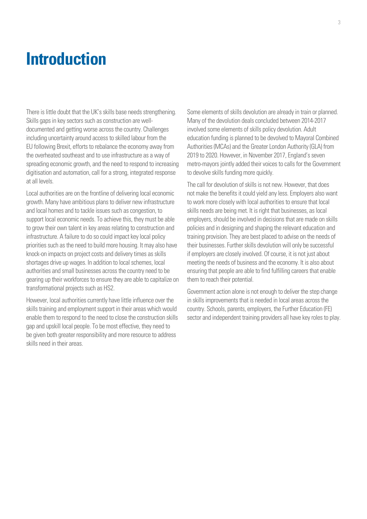#### **Introduction**

There is little doubt that the UK's skills base needs strengthening. Skills gaps in key sectors such as construction are welldocumented and getting worse across the country. Challenges including uncertainty around access to skilled labour from the EU following Brexit, efforts to rebalance the economy away from the overheated southeast and to use infrastructure as a way of spreading economic growth, and the need to respond to increasing digitisation and automation, call for a strong, integrated response at all levels.

Local authorities are on the frontline of delivering local economic growth. Many have ambitious plans to deliver new infrastructure and local homes and to tackle issues such as congestion, to support local economic needs. To achieve this, they must be able to grow their own talent in key areas relating to construction and infrastructure. A failure to do so could impact key local policy priorities such as the need to build more housing. It may also have knock-on impacts on project costs and delivery times as skills shortages drive up wages. In addition to local schemes, local authorities and small businesses across the country need to be gearing up their workforces to ensure they are able to capitalize on transformational projects such as HS2.

However, local authorities currently have little influence over the skills training and employment support in their areas which would enable them to respond to the need to close the construction skills gap and upskill local people. To be most effective, they need to be given both greater responsibility and more resource to address skills need in their areas.

Some elements of skills devolution are already in train or planned. Many of the devolution deals concluded between 2014-2017 involved some elements of skills policy devolution. Adult education funding is planned to be devolved to Mayoral Combined Authorities (MCAs) and the Greater London Authority (GLA) from 2019 to 2020. However, in November 2017, England's seven metro-mayors jointly added their voices to calls for the Government to devolve skills funding more quickly.

The call for devolution of skills is not new. However, that does not make the benefits it could yield any less. Employers also want to work more closely with local authorities to ensure that local skills needs are being met. It is right that businesses, as local employers, should be involved in decisions that are made on skills policies and in designing and shaping the relevant education and training provision. They are best placed to advise on the needs of their businesses. Further skills devolution will only be successful if employers are closely involved. Of course, it is not just about meeting the needs of business and the economy. It is also about ensuring that people are able to find fulfilling careers that enable them to reach their potential.

Government action alone is not enough to deliver the step change in skills improvements that is needed in local areas across the country. Schools, parents, employers, the Further Education (FE) sector and independent training providers all have key roles to play.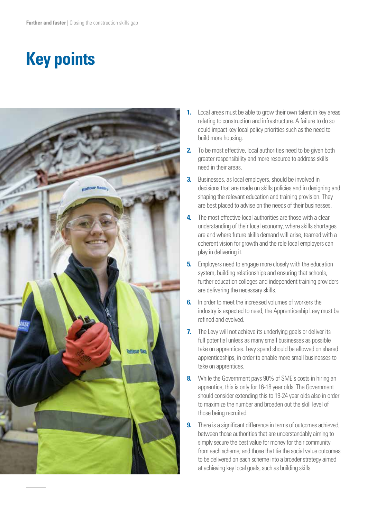# **Key points**



- **1.** Local areas must be able to grow their own talent in key areas relating to construction and infrastructure. A failure to do so could impact key local policy priorities such as the need to build more housing.
- **2.** To be most effective, local authorities need to be given both greater responsibility and more resource to address skills need in their areas.
- **3.** Businesses, as local employers, should be involved in decisions that are made on skills policies and in designing and shaping the relevant education and training provision. They are best placed to advise on the needs of their businesses.
- **4.** The most effective local authorities are those with a clear understanding of their local economy, where skills shortages are and where future skills demand will arise, teamed with a coherent vision for growth and the role local employers can play in delivering it.
- **5.** Employers need to engage more closely with the education system, building relationships and ensuring that schools, further education colleges and independent training providers are delivering the necessary skills.
- **6.** In order to meet the increased volumes of workers the industry is expected to need, the Apprenticeship Levy must be refined and evolved.
- **7.** The Levy will not achieve its underlying goals or deliver its full potential unless as many small businesses as possible take on apprentices. Levy spend should be allowed on shared apprenticeships, in order to enable more small businesses to take on apprentices.
- **8.** While the Government pays 90% of SME's costs in hiring an apprentice, this is only for 16-18 year olds. The Government should consider extending this to 19-24 year olds also in order to maximize the number and broaden out the skill level of those being recruited.
- **9.** There is a significant difference in terms of outcomes achieved, between those authorities that are understandably aiming to simply secure the best value for money for their community from each scheme; and those that tie the social value outcomes to be delivered on each scheme into a broader strategy aimed at achieving key local goals, such as building skills.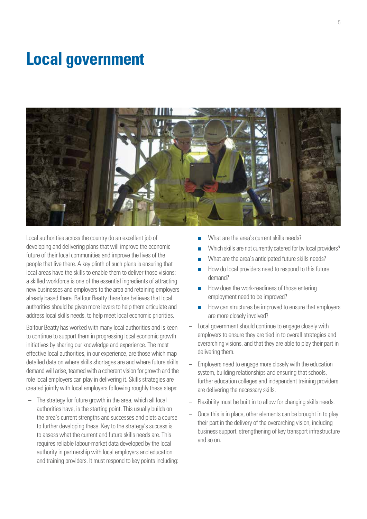#### **Local government**



Local authorities across the country do an excellent job of developing and delivering plans that will improve the economic future of their local communities and improve the lives of the people that live there. A key plinth of such plans is ensuring that local areas have the skills to enable them to deliver those visions: a skilled workforce is one of the essential ingredients of attracting new businesses and employers to the area and retaining employers already based there. Balfour Beatty therefore believes that local authorities should be given more levers to help them articulate and address local skills needs, to help meet local economic priorities.

Balfour Beatty has worked with many local authorities and is keen to continue to support them in progressing local economic growth initiatives by sharing our knowledge and experience. The most effective local authorities, in our experience, are those which map detailed data on where skills shortages are and where future skills demand will arise, teamed with a coherent vision for growth and the role local employers can play in delivering it. Skills strategies are created jointly with local employers following roughly these steps:

The strategy for future growth in the area, which all local authorities have, is the starting point. This usually builds on the area's current strengths and successes and plots a course to further developing these. Key to the strategy's success is to assess what the current and future skills needs are. This requires reliable labour-market data developed by the local authority in partnership with local employers and education and training providers. It must respond to key points including:

- What are the area's current skills needs?
- Which skills are not currently catered for by local providers?
- What are the area's anticipated future skills needs?
- How do local providers need to respond to this future demand?
- How does the work-readiness of those entering employment need to be improved?
- How can structures be improved to ensure that employers are more closely involved?
- Local government should continue to engage closely with employers to ensure they are tied in to overall strategies and overarching visions, and that they are able to play their part in delivering them.
- Employers need to engage more closely with the education system, building relationships and ensuring that schools, further education colleges and independent training providers are delivering the necessary skills.
- Flexibility must be built in to allow for changing skills needs.
- Once this is in place, other elements can be brought in to play their part in the delivery of the overarching vision, including business support, strengthening of key transport infrastructure and so on.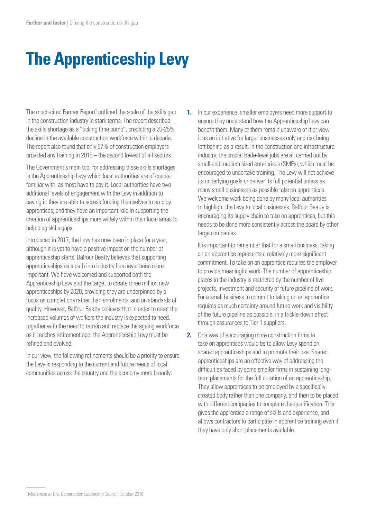## **The Apprenticeship Levy**

The much-cited Farmer Report<sup>1</sup> outlined the scale of the skills gap in the construction industry in stark terms. The report described the skills shortage as a "ticking time bomb", predicting a 20-25% decline in the available construction workforce within a decade. The report also found that only 57% of construction employers provided any training in 2015 – the second lowest of all sectors.

The Government's main tool for addressing these skills shortages is the Apprenticeship Levy which local authorities are of course familiar with, as most have to pay it. Local authorities have two additional levels of engagement with the Levy in addition to paying it: they are able to access funding themselves to employ apprentices; and they have an important role in supporting the creation of apprenticeships more widely within their local areas to help plug skills gaps.

Introduced in 2017, the Levy has now been in place for a year, although it is yet to have a positive impact on the number of apprenticeship starts. Balfour Beatty believes that supporting apprenticeships as a path into industry has never been more important. We have welcomed and supported both the Apprenticeship Levy and the target to create three million new apprenticeships by 2020, providing they are underpinned by a focus on completions rather than enrolments, and on standards of quality. However, Balfour Beatty believes that in order to meet the increased volumes of workers the industry is expected to need, together with the need to retrain and replace the ageing workforce as it reaches retirement age, the Apprenticeship Levy must be refined and evolved.

In our view, the following refinements should be a priority to ensure the Levy is responding to the current and future needs of local communities across the country and the economy more broadly:

**1.** In our experience, smaller employers need more support to ensure they understand how the Apprenticeship Levy can benefit them. Many of them remain unaware of it or view it as an initiative for larger businesses only and risk being left behind as a result. In the construction and infrastructure industry, the crucial trade-level jobs are all carried out by small and medium sized enterprises (SMEs), which must be encouraged to undertake training. The Levy will not achieve its underlying goals or deliver its full potential unless as many small businesses as possible take on apprentices. We welcome work being done by many local authorities to highlight the Levy to local businesses. Balfour Beatty is encouraging its supply chain to take on apprentices, but this needs to be done more consistently across the board by other large companies.

It is important to remember that for a small business, taking on an apprentice represents a relatively more significant commitment. To take on an apprentice requires the employer to provide meaningful work. The number of apprenticeship places in the industry is restricted by the number of live projects, investment and security of future pipeline of work. For a small business to commit to taking on an apprentice requires as much certainty around future work and visibility of the future pipeline as possible, in a trickle-down effect through assurances to Tier 1 suppliers.

**2.** One way of encouraging more construction firms to take on apprentices would be to allow Levy spend on shared apprenticeships and to promote their use. Shared apprenticeships are an effective way of addressing the difficulties faced by some smaller firms in sustaining longterm placements for the full duration of an apprenticeship. They allow apprentices to be employed by a specificallycreated body rather than one company, and then to be placed with different companies to complete the qualification. This gives the apprentice a range of skills and experience, and allows contractors to participate in apprentice training even if they have only short placements available.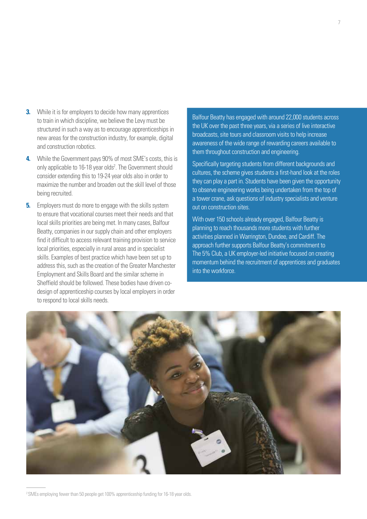- **3.** While it is for employers to decide how many apprentices to train in which discipline, we believe the Levy must be structured in such a way as to encourage apprenticeships in new areas for the construction industry, for example, digital and construction robotics.
- **4.** While the Government pays 90% of most SME's costs, this is only applicable to 16-18 year olds<sup>2</sup>. The Government should consider extending this to 19-24 year olds also in order to maximize the number and broaden out the skill level of those being recruited.
- **5.** Employers must do more to engage with the skills system to ensure that vocational courses meet their needs and that local skills priorities are being met. In many cases, Balfour Beatty, companies in our supply chain and other employers find it difficult to access relevant training provision to service local priorities, especially in rural areas and in specialist skills. Examples of best practice which have been set up to address this, such as the creation of the Greater Manchester Employment and Skills Board and the similar scheme in Sheffield should be followed. These bodies have driven codesign of apprenticeship courses by local employers in order to respond to local skills needs.

Balfour Beatty has engaged with around 22,000 students across the UK over the past three years, via a series of live interactive broadcasts, site tours and classroom visits to help increase awareness of the wide range of rewarding careers available to them throughout construction and engineering.

Specifically targeting students from different backgrounds and cultures, the scheme gives students a first-hand look at the roles they can play a part in. Students have been given the opportunity to observe engineering works being undertaken from the top of a tower crane, ask questions of industry specialists and venture out on construction sites.

With over 150 schools already engaged, Balfour Beatty is planning to reach thousands more students with further activities planned in Warrington, Dundee, and Cardiff. The approach further supports Balfour Beatty's commitment to The 5% Club, a UK employer-led initiative focused on creating momentum behind the recruitment of apprentices and graduates into the workforce.

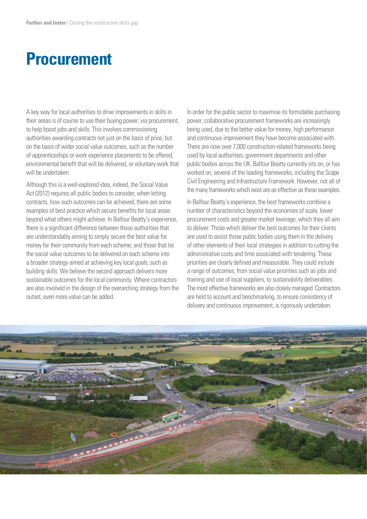#### **Procurement**

A key way for local authorities to drive improvements in skills in their areas is of course to use their buying power, via procurement, to help boost jobs and skills. This involves commissioning authorities awarding contracts not just on the basis of price, but on the basis of wider social value outcomes, such as the number of apprenticeships or work experience placements to be offered, environmental benefit that will be delivered, or voluntary work that will be undertaken.

Although this is a well-explored idea, indeed, the Social Value Act (2012) requires all public bodies to consider, when letting contracts, how such outcomes can be achieved, there are some examples of best practice which secure benefits for local areas beyond what others might achieve. In Balfour Beatty's experience, there is a significant difference between those authorities that are understandably aiming to simply secure the best value for money for their community from each scheme; and those that tie the social value outcomes to be delivered on each scheme into a broader strategy aimed at achieving key local goals, such as building skills. We believe the second approach delivers more sustainable outcomes for the local community. Where contractors are also involved in the design of the overarching strategy from the outset, even more value can be added.

In order for the public sector to maximise its formidable purchasing power, collaborative procurement frameworks are increasingly being used, due to the better value for money, high performance and continuous improvement they have become associated with. There are now over 7,000 construction-related frameworks being used by local authorities, government departments and other public bodies across the UK. Balfour Beatty currently sits on, or has worked on, several of the leading frameworks, including the Scape Civil Engineering and Infrastructure Framework. However, not all of the many frameworks which exist are as effective as these examples.

In Balfour Beatty's experience, the best frameworks combine a number of characteristics beyond the economies of scale, lower procurement costs and greater market leverage, which they all aim to deliver. Those which deliver the best outcomes for their clients are used to assist those public bodies using them in the delivery of other elements of their local strategies in addition to cutting the administrative costs and time associated with tendering. These priorities are clearly defined and measurable. They could include a range of outcomes, from social value priorities such as jobs and training and use of local suppliers, to sustainability deliverables. The most effective frameworks are also closely managed. Contractors are held to account and benchmarking, to ensure consistency of delivery and continuous improvement, is rigorously undertaken.

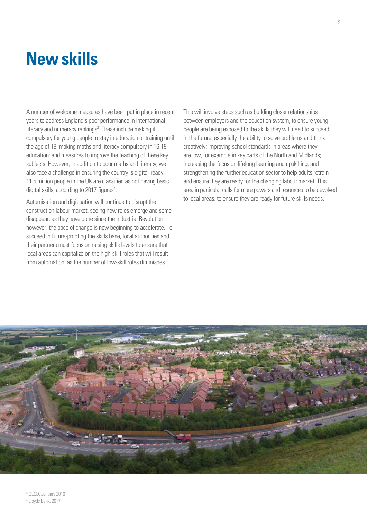#### **New skills**

A number of welcome measures have been put in place in recent years to address England's poor performance in international literacy and numeracy rankings<sup>3</sup>. These include making it compulsory for young people to stay in education or training until the age of 18; making maths and literacy compulsory in 16-19 education; and measures to improve the teaching of these key subjects. However, in addition to poor maths and literacy, we also face a challenge in ensuring the country is digital-ready: 11.5 million people in the UK are classified as not having basic digital skills, according to 2017 figures<sup>4</sup>.

Automisation and digitisation will continue to disrupt the construction labour market, seeing new roles emerge and some disappear, as they have done since the Industrial Revolution – however, the pace of change is now beginning to accelerate. To succeed in future-proofing the skills base, local authorities and their partners must focus on raising skills levels to ensure that local areas can capitalize on the high-skill roles that will result from automation, as the number of low-skill roles diminishes.

This will involve steps such as building closer relationships between employers and the education system, to ensure young people are being exposed to the skills they will need to succeed in the future, especially the ability to solve problems and think creatively; improving school standards in areas where they are low, for example in key parts of the North and Midlands; increasing the focus on lifelong learning and upskilling; and strengthening the further education sector to help adults retrain and ensure they are ready for the changing labour market. This area in particular calls for more powers and resources to be devolved to local areas, to ensure they are ready for future skills needs.



4 Lloyds Bank, 2017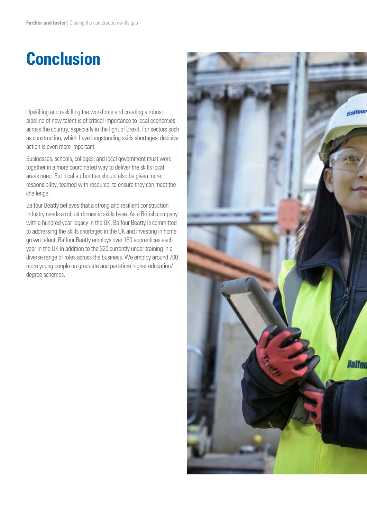### **Conclusion**

Upskilling and reskilling the workforce and creating a robust pipeline of new talent is of critical importance to local economies across the country, especially in the light of Brexit. For sectors such as construction, which have longstanding skills shortages, decisive action is even more important.

Businesses, schools, colleges, and local government must work together in a more coordinated way to deliver the skills local areas need. But local authorities should also be given more responsibility, teamed with resource, to ensure they can meet the challenge.

Balfour Beatty believes that a strong and resilient construction industry needs a robust domestic skills base. As a British company with a hundred year legacy in the UK, Balfour Beatty is committed to addressing the skills shortages in the UK and investing in home grown talent. Balfour Beatty employs over 150 apprentices each year in the UK in addition to the 320 currently under training in a diverse range of roles across the business. We employ around 700 more young people on graduate and part-time higher education/ degree schemes.

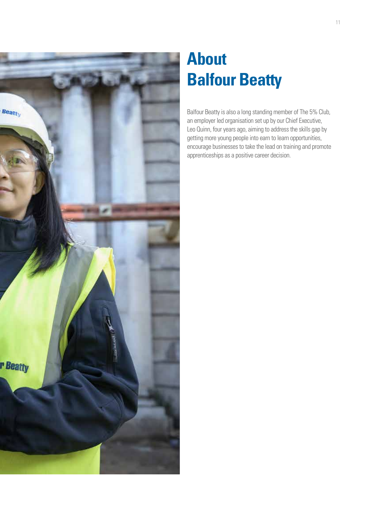

## **About Balfour Beatty**

Balfour Beatty is also a long standing member of The 5% Club, an employer led organisation set up by our Chief Executive, Leo Quinn, four years ago, aiming to address the skills gap by getting more young people into earn to learn opportunities, encourage businesses to take the lead on training and promote apprenticeships as a positive career decision.